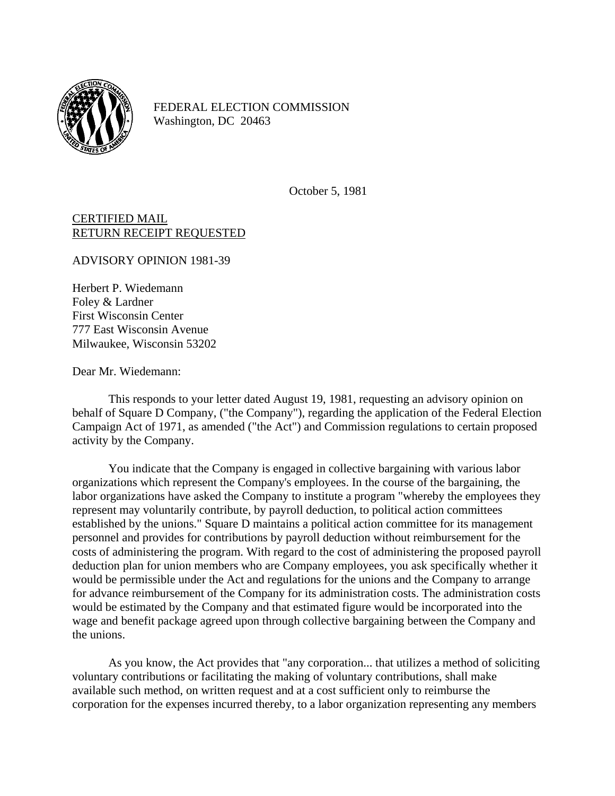

FEDERAL ELECTION COMMISSION Washington, DC 20463

October 5, 1981

CERTIFIED MAIL RETURN RECEIPT REQUESTED

ADVISORY OPINION 1981-39

Herbert P. Wiedemann Foley & Lardner First Wisconsin Center 777 East Wisconsin Avenue Milwaukee, Wisconsin 53202

Dear Mr. Wiedemann:

This responds to your letter dated August 19, 1981, requesting an advisory opinion on behalf of Square D Company, ("the Company"), regarding the application of the Federal Election Campaign Act of 1971, as amended ("the Act") and Commission regulations to certain proposed activity by the Company.

You indicate that the Company is engaged in collective bargaining with various labor organizations which represent the Company's employees. In the course of the bargaining, the labor organizations have asked the Company to institute a program "whereby the employees they represent may voluntarily contribute, by payroll deduction, to political action committees established by the unions." Square D maintains a political action committee for its management personnel and provides for contributions by payroll deduction without reimbursement for the costs of administering the program. With regard to the cost of administering the proposed payroll deduction plan for union members who are Company employees, you ask specifically whether it would be permissible under the Act and regulations for the unions and the Company to arrange for advance reimbursement of the Company for its administration costs. The administration costs would be estimated by the Company and that estimated figure would be incorporated into the wage and benefit package agreed upon through collective bargaining between the Company and the unions.

As you know, the Act provides that "any corporation... that utilizes a method of soliciting voluntary contributions or facilitating the making of voluntary contributions, shall make available such method, on written request and at a cost sufficient only to reimburse the corporation for the expenses incurred thereby, to a labor organization representing any members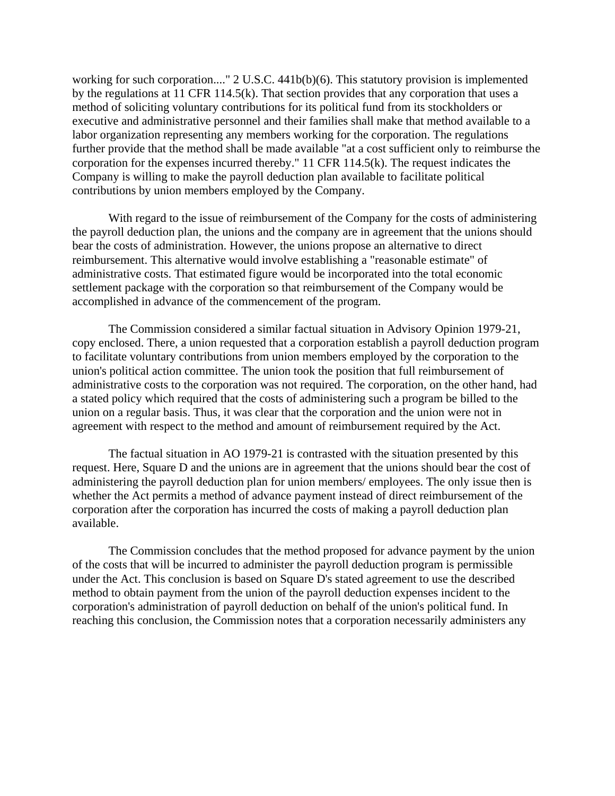working for such corporation...." 2 U.S.C. 441b(b)(6). This statutory provision is implemented by the regulations at 11 CFR 114.5(k). That section provides that any corporation that uses a method of soliciting voluntary contributions for its political fund from its stockholders or executive and administrative personnel and their families shall make that method available to a labor organization representing any members working for the corporation. The regulations further provide that the method shall be made available "at a cost sufficient only to reimburse the corporation for the expenses incurred thereby." 11 CFR 114.5(k). The request indicates the Company is willing to make the payroll deduction plan available to facilitate political contributions by union members employed by the Company.

With regard to the issue of reimbursement of the Company for the costs of administering the payroll deduction plan, the unions and the company are in agreement that the unions should bear the costs of administration. However, the unions propose an alternative to direct reimbursement. This alternative would involve establishing a "reasonable estimate" of administrative costs. That estimated figure would be incorporated into the total economic settlement package with the corporation so that reimbursement of the Company would be accomplished in advance of the commencement of the program.

The Commission considered a similar factual situation in Advisory Opinion 1979-21, copy enclosed. There, a union requested that a corporation establish a payroll deduction program to facilitate voluntary contributions from union members employed by the corporation to the union's political action committee. The union took the position that full reimbursement of administrative costs to the corporation was not required. The corporation, on the other hand, had a stated policy which required that the costs of administering such a program be billed to the union on a regular basis. Thus, it was clear that the corporation and the union were not in agreement with respect to the method and amount of reimbursement required by the Act.

The factual situation in AO 1979-21 is contrasted with the situation presented by this request. Here, Square D and the unions are in agreement that the unions should bear the cost of administering the payroll deduction plan for union members/ employees. The only issue then is whether the Act permits a method of advance payment instead of direct reimbursement of the corporation after the corporation has incurred the costs of making a payroll deduction plan available.

The Commission concludes that the method proposed for advance payment by the union of the costs that will be incurred to administer the payroll deduction program is permissible under the Act. This conclusion is based on Square D's stated agreement to use the described method to obtain payment from the union of the payroll deduction expenses incident to the corporation's administration of payroll deduction on behalf of the union's political fund. In reaching this conclusion, the Commission notes that a corporation necessarily administers any